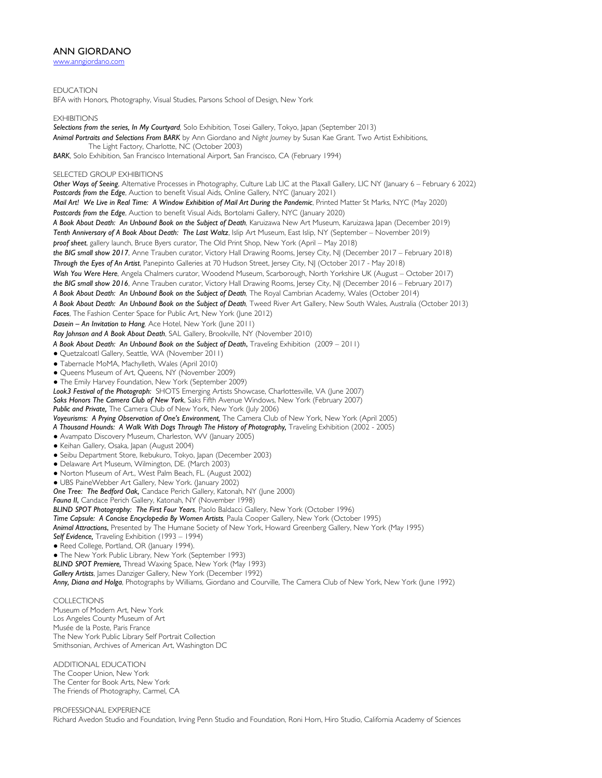## ANN GIORDANO

www.anngiordano.com

EDUCATION

BFA with Honors, Photography, Visual Studies, Parsons School of Design, New York

**EXHIBITIONS** 

*Selections from the series, In My Courtyard,* Solo Exhibition*,* Tosei Gallery, Tokyo, Japan (September 2013) *Animal Portraits and Selections From BARK* by Ann Giordano and *Night Journey* by Susan Kae Grant. Two Artist Exhibitions, The Light Factory, Charlotte, NC (October 2003) *BARK*, Solo Exhibition, San Francisco International Airport, San Francisco, CA (February 1994) SELECTED GROUP EXHIBITIONS *Other Ways of Seeing*, Alternative Processes in Photography, Culture Lab LIC at the Plaxall Gallery, LIC NY (January 6 – February 6 2022) *Postcards from the Edge*, Auction to benefit Visual Aids, Online Gallery, NYC (January 2021) *Mail Art! We Live in Real Time: A Window Exhibition of Mail Art During the Pandemic*, Printed Matter St Marks, NYC (May 2020) *Postcards from the Edge*, Auction to benefit Visual Aids, Bortolami Gallery, NYC (January 2020) A Book About Death: An Unbound Book on the Subject of Death, Karuizawa New Art Museum, Karuizawa Japan (December 2019) *Tenth Anniversary of A Book About Death: The Last Waltz*, Islip Art Museum, East Islip, NY (September – November 2019) *proof sheet*, gallery launch, Bruce Byers curator, The Old Print Shop, New York (April – May 2018) *the BIG small show 2017*, Anne Trauben curator, Victory Hall Drawing Rooms, Jersey City, NJ (December 2017 – February 2018) *Through the Eyes of An Artist*, Panepinto Galleries at 70 Hudson Street, Jersey City, NJ (October 2017 - May 2018) *Wish You Were Here*, Angela Chalmers curator, Woodend Museum, Scarborough, North Yorkshire UK (August – October 2017) *the BIG small show 2016*, Anne Trauben curator, Victory Hall Drawing Rooms, Jersey City, NJ (December 2016 – February 2017) *A Book About Death: An Unbound Book on the Subject of Death,* The Royal Cambrian Academy, Wales (October 2014) *A Book About Death: An Unbound Book on the Subject of Death,* Tweed River Art Gallery, New South Wales, Australia (October 2013) *Faces*, The Fashion Center Space for Public Art, New York (June 2012) *Dasein – An Invitation to Hang,* Ace Hotel, New York (June 2011) *Ray Johnson and A Book About Death*, SAL Gallery, Brookville, NY (November 2010) *A Book About Death: An Unbound Book on the Subject of Death*, Traveling Exhibition (2009 – 2011) ● Quetzalcoatl Gallery, Seattle, WA (November 2011) ● Tabernacle MoMA, Machylleth, Wales (April 2010) ● Queens Museum of Art, Queens, NY (November 2009) ● The Emily Harvey Foundation, New York (September 2009) *Look3 Festival of the Photograph:* SHOTS Emerging Artists Showcase, Charlottesville, VA (June 2007) *Saks Honors The Camera Club of New York*, Saks Fifth Avenue Windows, New York (February 2007) *Public and Private,* The Camera Club of New York, New York (July 2006) *Voyeurisms: A Prying Observation of One's Environment,* The Camera Club of New York, New York (April 2005) A Thousand Hounds: A Walk With Dogs Through The History of Photography, Traveling Exhibition (2002 - 2005) ● Avampato Discovery Museum, Charleston, WV (January 2005) ● Keihan Gallery, Osaka, Japan (August 2004) ● Seibu Department Store, Ikebukuro, Tokyo, Japan (December 2003) ● Delaware Art Museum, Wilmington, DE. (March 2003) ● Norton Museum of Art., West Palm Beach, FL. (August 2002) ● UBS PaineWebber Art Gallery, New York. (January 2002) *One Tree: The Bedford Oak,* Candace Perich Gallery, Katonah, NY (June 2000) *Fauna II*, Candace Perich Gallery, Katonah, NY (November 1998) *BLIND SPOT Photography: The First Four Years*, Paolo Baldacci Gallery, New York (October 1996) *Time Capsule: A Concise Encyclopedia By Women Artists,* Paula Cooper Gallery, New York (October 1995) *Animal Attractions*, Presented by The Humane Society of New York, Howard Greenberg Gallery, New York (May 1995) *Self Evidence,* Traveling Exhibition (1993 – 1994) ● Reed College, Portland, OR (January 1994). • The New York Public Library, New York (September 1993) *BLIND SPOT Premiere,* Thread Waxing Space, New York (May 1993) *Gallery Artists*, James Danziger Gallery, New York (December 1992) *Anny, Diana and Holga*, Photographs by Williams, Giordano and Courville, The Camera Club of New York, New York (June 1992) **COLLECTIONS** 

Museum of Modern Art, New York Los Angeles County Museum of Art Musée de la Poste, Paris France The New York Public Library Self Portrait Collection

Smithsonian, Archives of American Art, Washington DC

ADDITIONAL EDUCATION The Cooper Union, New York The Center for Book Arts, New York The Friends of Photography, Carmel, CA

PROFESSIONAL EXPERIENCE Richard Avedon Studio and Foundation, Irving Penn Studio and Foundation, Roni Horn, Hiro Studio, California Academy of Sciences